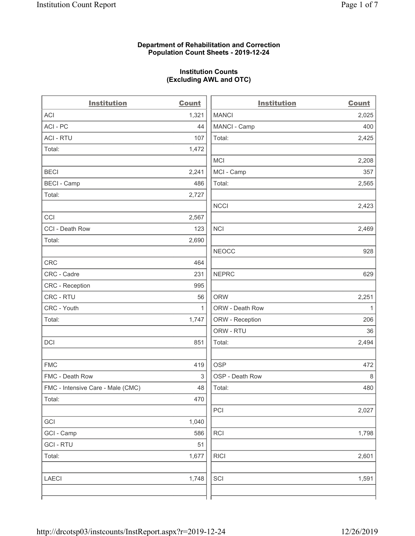### **Department of Rehabilitation and Correction Population Count Sheets - 2019-12-24**

# **Institution Counts (Excluding AWL and OTC)**

 $\overline{a}$ 

| <b>Institution</b>                | <b>Count</b> | <b>Institution</b> | Count        |
|-----------------------------------|--------------|--------------------|--------------|
| ACI                               | 1,321        | <b>MANCI</b>       | 2,025        |
| ACI-PC                            | 44           | MANCI - Camp       | 400          |
| <b>ACI - RTU</b>                  | 107          | Total:             | 2,425        |
| Total:                            | 1,472        |                    |              |
|                                   |              | <b>MCI</b>         | 2,208        |
| <b>BECI</b>                       | 2,241        | MCI - Camp         | 357          |
| <b>BECI - Camp</b>                | 486          | Total:             | 2,565        |
| Total:                            | 2,727        |                    |              |
|                                   |              | <b>NCCI</b>        | 2,423        |
| CCI                               | 2,567        |                    |              |
| CCI - Death Row                   | 123          | <b>NCI</b>         | 2,469        |
| Total:                            | 2,690        |                    |              |
|                                   |              | <b>NEOCC</b>       | 928          |
| <b>CRC</b>                        | 464          |                    |              |
| CRC - Cadre                       | 231          | <b>NEPRC</b>       | 629          |
| CRC - Reception                   | 995          |                    |              |
| CRC - RTU                         | 56           | <b>ORW</b>         | 2,251        |
| CRC - Youth                       | $\mathbf{1}$ | ORW - Death Row    | $\mathbf{1}$ |
| Total:                            | 1,747        | ORW - Reception    | 206          |
|                                   |              | ORW - RTU          | 36           |
| DCI                               | 851          | Total:             | 2,494        |
| <b>FMC</b>                        | 419          | <b>OSP</b>         | 472          |
| FMC - Death Row                   | 3            | OSP - Death Row    | 8            |
| FMC - Intensive Care - Male (CMC) | 48           | Total:             | 480          |
| Total:                            | 470          |                    |              |
|                                   |              | PCI                | 2,027        |
| GCI                               | 1,040        |                    |              |
| GCI - Camp                        | 586          | RCI                | 1,798        |
| <b>GCI-RTU</b>                    | 51           |                    |              |
| Total:                            | 1,677        | <b>RICI</b>        | 2,601        |
| LAECI                             | 1,748        | SCI                | 1,591        |
|                                   |              |                    |              |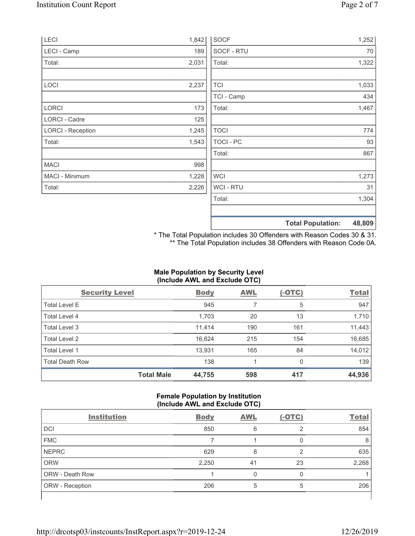| LECI                     | 1,842 | <b>SOCF</b>      | 1,252                              |
|--------------------------|-------|------------------|------------------------------------|
| LECI - Camp              | 189   | SOCF - RTU       | 70                                 |
| Total:                   | 2,031 | Total:           | 1,322                              |
| LOCI                     | 2,237 | <b>TCI</b>       | 1,033                              |
|                          |       | TCI - Camp       | 434                                |
| LORCI                    | 173   | Total:           | 1,467                              |
| <b>LORCI - Cadre</b>     | 125   |                  |                                    |
| <b>LORCI - Reception</b> | 1,245 | <b>TOCI</b>      | 774                                |
| Total:                   | 1,543 | TOCI - PC        | 93                                 |
|                          |       | Total:           | 867                                |
| <b>MACI</b>              | 998   |                  |                                    |
| MACI - Minimum           | 1,228 | <b>WCI</b>       | 1,273                              |
| Total:                   | 2,226 | <b>WCI - RTU</b> | 31                                 |
|                          |       | Total:           | 1,304                              |
|                          |       |                  | <b>Total Population:</b><br>48,809 |

\* The Total Population includes 30 Offenders with Reason Codes 30 & 31. \*\* The Total Population includes 38 Offenders with Reason Code 0A.

# **Male Population by Security Level (Include AWL and Exclude OTC)**

| <b>Security Level</b>  |                   | <b>Body</b> | <b>AWL</b> | $(-OTC)$ | <b>Total</b> |
|------------------------|-------------------|-------------|------------|----------|--------------|
| <b>Total Level E</b>   |                   | 945         |            | 5        | 947          |
| Total Level 4          |                   | 1,703       | 20         | 13       | 1,710        |
| Total Level 3          |                   | 11,414      | 190        | 161      | 11,443       |
| Total Level 2          |                   | 16.624      | 215        | 154      | 16,685       |
| Total Level 1          |                   | 13,931      | 165        | 84       | 14,012       |
| <b>Total Death Row</b> |                   | 138         |            | $\Omega$ | 139          |
|                        | <b>Total Male</b> | 44,755      | 598        | 417      | 44,936       |

### **Female Population by Institution (Include AWL and Exclude OTC)**

| <b>Institution</b>     | <b>Body</b> | <b>AWL</b> | $(-OTC)$ | <b>Total</b> |
|------------------------|-------------|------------|----------|--------------|
| <b>DCI</b>             | 850         | 6          | ⌒        | 854          |
| <b>FMC</b>             |             |            |          | 8            |
| <b>NEPRC</b>           | 629         | 8          | ◠        | 635          |
| <b>ORW</b>             | 2,250       | 41         | 23       | 2,268        |
| <b>ORW - Death Row</b> |             | 0          | 0        |              |
| ORW - Reception        | 206         |            | 5        | 206          |
|                        |             |            |          |              |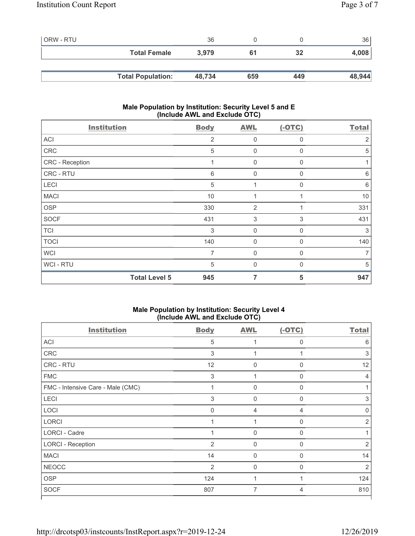| <b>ORW - RTU</b> |                          | 36     |     |     | 36     |
|------------------|--------------------------|--------|-----|-----|--------|
|                  | <b>Total Female</b>      | 3.979  | 61  | 32  | 4,008  |
|                  |                          |        |     |     |        |
|                  | <b>Total Population:</b> | 48,734 | 659 | 449 | 48,944 |

### **Male Population by Institution: Security Level 5 and E (Include AWL and Exclude OTC)**

| <b>Institution</b>   | <b>Body</b> | <b>AWL</b>                | $(-OTC)$     | <b>Total</b>   |
|----------------------|-------------|---------------------------|--------------|----------------|
| ACI                  | 2           | $\mathbf{0}$              | $\Omega$     | 2              |
| CRC                  | 5           | $\mathbf 0$               | 0            | 5              |
| CRC - Reception      | 1           | 0                         | $\mathbf{0}$ |                |
| CRC - RTU            | 6           | $\overline{0}$            | $\mathbf 0$  | 6              |
| LECI                 | 5           | 1                         | 0            | 6              |
| <b>MACI</b>          | 10          | 1                         |              | 10             |
| <b>OSP</b>           | 330         | $\overline{2}$            |              | 331            |
| <b>SOCF</b>          | 431         | $\ensuremath{\mathsf{3}}$ | 3            | 431            |
| <b>TCI</b>           | 3           | $\overline{0}$            | 0            | 3              |
| <b>TOCI</b>          | 140         | $\mathbf 0$               | $\mathbf 0$  | 140            |
| <b>WCI</b>           | 7           | $\mathbf{0}$              | $\Omega$     | $\overline{7}$ |
| <b>WCI-RTU</b>       | 5           | $\mathbf{0}$              | $\Omega$     | 5              |
| <b>Total Level 5</b> | 945         | 7                         | 5            | 947            |

#### **Male Population by Institution: Security Level 4 (Include AWL and Exclude OTC)**

| <b>Institution</b>                | <b>Body</b> | <b>AWL</b>     | $(-OTC)$       | <b>Total</b>   |
|-----------------------------------|-------------|----------------|----------------|----------------|
| <b>ACI</b>                        | 5           |                | $\Omega$       | 6              |
| CRC                               | 3           |                |                | 3              |
| CRC - RTU                         | 12          | $\mathbf{0}$   | $\Omega$       | 12             |
| <b>FMC</b>                        | 3           |                | $\Omega$       | 4              |
| FMC - Intensive Care - Male (CMC) |             | 0              | $\Omega$       |                |
| LECI                              | 3           | $\mathbf{0}$   | $\Omega$       | 3              |
| LOCI                              | $\mathbf 0$ | 4              | $\overline{4}$ | 0              |
| LORCI                             |             |                | $\Omega$       | 2              |
| LORCI - Cadre                     |             | $\Omega$       | $\Omega$       |                |
| <b>LORCI - Reception</b>          | 2           | 0              | $\Omega$       | $\overline{2}$ |
| <b>MACI</b>                       | 14          | $\mathbf{0}$   | $\Omega$       | 14             |
| <b>NEOCC</b>                      | 2           | $\mathbf 0$    | $\Omega$       | $\overline{2}$ |
| <b>OSP</b>                        | 124         |                |                | 124            |
| <b>SOCF</b>                       | 807         | $\overline{7}$ | 4              | 810            |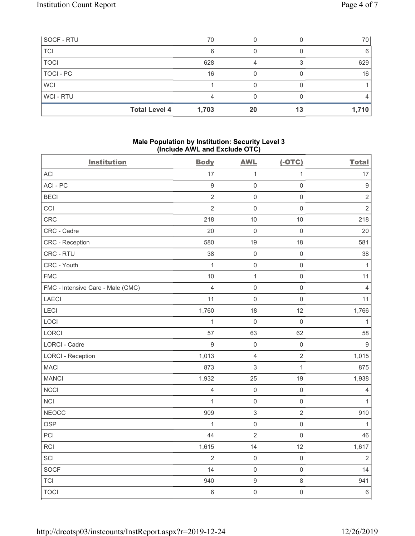| SOCF - RTU  |                      | 70    |    |    | 70    |
|-------------|----------------------|-------|----|----|-------|
| <b>TCI</b>  |                      | 6     |    |    | 6     |
| <b>TOCI</b> |                      | 628   |    |    | 629   |
| TOCI-PC     |                      | 16    |    |    | 16    |
| <b>WCI</b>  |                      |       |    |    |       |
| WCI-RTU     |                      |       |    |    |       |
|             | <b>Total Level 4</b> | 1,703 | 20 | 13 | 1,710 |

### **Male Population by Institution: Security Level 3 (Include AWL and Exclude OTC)**

| <b>Institution</b>                | <b>Body</b>      | <b>AWL</b>          | $(-OTC)$            | <b>Total</b>     |
|-----------------------------------|------------------|---------------------|---------------------|------------------|
| <b>ACI</b>                        | 17               | $\mathbf{1}$        | $\mathbf{1}$        | 17               |
| ACI-PC                            | $\boldsymbol{9}$ | $\mathsf{O}\xspace$ | $\mathsf{O}\xspace$ | $\boldsymbol{9}$ |
| <b>BECI</b>                       | $\sqrt{2}$       | $\mathsf{O}\xspace$ | $\mathsf{O}\xspace$ | $\sqrt{2}$       |
| CCI                               | $\overline{2}$   | $\mathsf{O}\xspace$ | $\mathsf{O}\xspace$ | $\overline{2}$   |
| CRC                               | 218              | $10$                | $10$                | 218              |
| CRC - Cadre                       | 20               | $\mathsf{O}\xspace$ | $\mathsf{O}\xspace$ | 20               |
| <b>CRC</b> - Reception            | 580              | 19                  | 18                  | 581              |
| CRC - RTU                         | 38               | $\mathsf 0$         | $\mathsf{O}\xspace$ | 38               |
| CRC - Youth                       | $\mathbf{1}$     | $\mathbf 0$         | $\mathsf{O}\xspace$ | $\mathbf{1}$     |
| <b>FMC</b>                        | 10               | $\mathbf{1}$        | $\mathsf{O}\xspace$ | 11               |
| FMC - Intensive Care - Male (CMC) | $\overline{4}$   | $\mathbf 0$         | $\mathsf 0$         | $\overline{4}$   |
| LAECI                             | 11               | $\mathbf 0$         | $\mathbf 0$         | 11               |
| LECI                              | 1,760            | 18                  | 12                  | 1,766            |
| LOCI                              | $\mathbf{1}$     | $\mathsf{O}\xspace$ | $\mathsf{O}\xspace$ | $\mathbf{1}$     |
| LORCI                             | 57               | 63                  | 62                  | 58               |
| LORCI - Cadre                     | $\overline{9}$   | $\mathsf{O}\xspace$ | $\mathsf{O}\xspace$ | $\boldsymbol{9}$ |
| <b>LORCI - Reception</b>          | 1,013            | $\overline{4}$      | $\overline{2}$      | 1,015            |
| <b>MACI</b>                       | 873              | $\mathfrak{S}$      | $\mathbf{1}$        | 875              |
| <b>MANCI</b>                      | 1,932            | 25                  | 19                  | 1,938            |
| <b>NCCI</b>                       | $\overline{4}$   | $\mathsf{O}\xspace$ | $\mathsf{O}\xspace$ | $\overline{4}$   |
| <b>NCI</b>                        | $\mathbf{1}$     | $\mathsf 0$         | $\mathsf{O}\xspace$ | $\mathbf{1}$     |
| <b>NEOCC</b>                      | 909              | $\sqrt{3}$          | $\overline{2}$      | 910              |
| <b>OSP</b>                        | $\mathbf{1}$     | $\mathsf{O}\xspace$ | $\mathsf{O}\xspace$ | 1                |
| PCI                               | 44               | $\sqrt{2}$          | $\mathsf{O}\xspace$ | 46               |
| RCI                               | 1,615            | 14                  | 12                  | 1,617            |
| SCI                               | $\overline{2}$   | $\mathsf{O}\xspace$ | $\mathsf{O}\xspace$ | $\overline{2}$   |
| SOCF                              | 14               | $\mathsf{O}\xspace$ | $\mathsf{O}\xspace$ | 14               |
| <b>TCI</b>                        | 940              | $\boldsymbol{9}$    | 8                   | 941              |
| <b>TOCI</b>                       | $\,6$            | $\mathsf{O}\xspace$ | $\mathsf{O}\xspace$ | $\,6\,$          |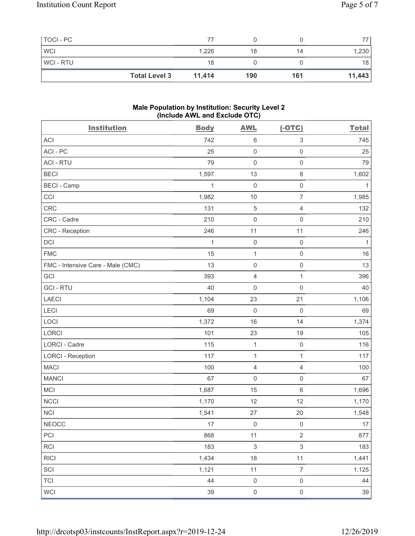| TOCI - PC      |                      | 77     |     |     |        |
|----------------|----------------------|--------|-----|-----|--------|
| <b>WCI</b>     |                      | 1,226  | 18  | 14  | 1,230  |
| <b>WCI-RTU</b> |                      | 18     |     |     | 18     |
|                | <b>Total Level 3</b> | 11,414 | 190 | 161 | 11,443 |

#### **Male Population by Institution: Security Level 2 (Include AWL and Exclude OTC)**

| <b>Institution</b>                | <b>Body</b>  | <b>AWL</b>                | $(-OTC)$                  | <b>Total</b> |
|-----------------------------------|--------------|---------------------------|---------------------------|--------------|
| <b>ACI</b>                        | 742          | $\,6\,$                   | $\,$ 3 $\,$               | 745          |
| ACI-PC                            | 25           | $\mathsf{O}\xspace$       | $\mathsf 0$               | 25           |
| <b>ACI - RTU</b>                  | 79           | $\mathsf{O}\xspace$       | $\mathsf{O}\xspace$       | 79           |
| <b>BECI</b>                       | 1,597        | 13                        | $\,8\,$                   | 1,602        |
| <b>BECI - Camp</b>                | $\mathbf{1}$ | $\mathsf{O}\xspace$       | $\mathsf 0$               | 1            |
| CCI                               | 1,982        | 10                        | $\overline{7}$            | 1,985        |
| CRC                               | 131          | $\sqrt{5}$                | $\sqrt{4}$                | 132          |
| CRC - Cadre                       | 210          | $\mathsf{O}\xspace$       | $\mathsf 0$               | 210          |
| CRC - Reception                   | 246          | 11                        | 11                        | 246          |
| DCI                               | $\mathbf{1}$ | $\mathsf{O}\xspace$       | $\mathsf{O}\xspace$       | $\mathbf{1}$ |
| <b>FMC</b>                        | 15           | $\mathbf{1}$              | $\mathsf 0$               | 16           |
| FMC - Intensive Care - Male (CMC) | 13           | $\mathsf{O}\xspace$       | $\mathsf 0$               | 13           |
| GCI                               | 393          | $\overline{4}$            | $\mathbf{1}$              | 396          |
| <b>GCI-RTU</b>                    | 40           | $\mathsf{O}\xspace$       | $\mathbf 0$               | 40           |
| <b>LAECI</b>                      | 1,104        | 23                        | 21                        | 1,106        |
| LECI                              | 69           | $\mathbf 0$               | $\mathbf 0$               | 69           |
| LOCI                              | 1,372        | 16                        | 14                        | 1,374        |
| LORCI                             | 101          | 23                        | 19                        | 105          |
| LORCI - Cadre                     | 115          | 1                         | $\mathsf 0$               | 116          |
| <b>LORCI - Reception</b>          | 117          | $\mathbf{1}$              | $\mathbf{1}$              | 117          |
| <b>MACI</b>                       | 100          | $\overline{4}$            | $\sqrt{4}$                | 100          |
| <b>MANCI</b>                      | 67           | $\mathsf{O}\xspace$       | $\mathbf 0$               | 67           |
| MCI                               | 1,687        | 15                        | $\,6\,$                   | 1,696        |
| <b>NCCI</b>                       | 1,170        | 12                        | 12                        | 1,170        |
| <b>NCI</b>                        | 1,541        | 27                        | 20                        | 1,548        |
| <b>NEOCC</b>                      | 17           | $\mathsf{O}\xspace$       | $\mathbf 0$               | 17           |
| PCI                               | 868          | 11                        | $\overline{2}$            | 877          |
| RCI                               | 183          | $\ensuremath{\mathsf{3}}$ | $\ensuremath{\mathsf{3}}$ | 183          |
| <b>RICI</b>                       | 1,434        | 18                        | 11                        | 1,441        |
| SCI                               | 1,121        | 11                        | $\overline{7}$            | 1,125        |
| <b>TCI</b>                        | 44           | $\mathbf 0$               | $\mathsf{O}\xspace$       | 44           |
| WCI                               | 39           | $\mathsf{O}\xspace$       | $\mathsf{O}\xspace$       | $39\,$       |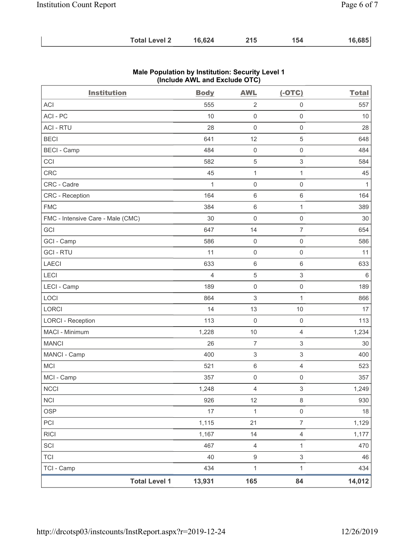|--|

| <b>Institution</b>                | <b>Body</b>    | <b>AWL</b>                | $(-OTC)$                  | <b>Total</b> |
|-----------------------------------|----------------|---------------------------|---------------------------|--------------|
| <b>ACI</b>                        | 555            | $\sqrt{2}$                | 0                         | 557          |
| ACI-PC                            | 10             | $\mathsf{O}\xspace$       | $\mathbf 0$               | 10           |
| <b>ACI - RTU</b>                  | 28             | 0                         | $\mathbf 0$               | 28           |
| <b>BECI</b>                       | 641            | 12                        | 5                         | 648          |
| <b>BECI - Camp</b>                | 484            | $\mathsf{O}\xspace$       | $\mathbf 0$               | 484          |
| CCI                               | 582            | $\mathbf 5$               | $\ensuremath{\mathsf{3}}$ | 584          |
| CRC                               | 45             | $\mathbf 1$               | $\mathbf{1}$              | 45           |
| CRC - Cadre                       | 1              | $\boldsymbol{0}$          | $\mathbf 0$               | $\mathbf{1}$ |
| CRC - Reception                   | 164            | 6                         | $\,6\,$                   | 164          |
| <b>FMC</b>                        | 384            | $\,$ 6 $\,$               | $\mathbf{1}$              | 389          |
| FMC - Intensive Care - Male (CMC) | 30             | $\mathbf 0$               | $\mathbf 0$               | 30           |
| GCI                               | 647            | 14                        | $\overline{7}$            | 654          |
| GCI - Camp                        | 586            | $\boldsymbol{0}$          | $\mathbf 0$               | 586          |
| <b>GCI-RTU</b>                    | 11             | $\mathsf{O}\xspace$       | $\mathbf 0$               | 11           |
| <b>LAECI</b>                      | 633            | $\,6\,$                   | $\,6\,$                   | 633          |
| LECI                              | $\overline{4}$ | $\mathbf 5$               | $\ensuremath{\mathsf{3}}$ | 6            |
| LECI - Camp                       | 189            | $\mathsf{O}\xspace$       | $\mathsf 0$               | 189          |
| LOCI                              | 864            | 3                         | 1                         | 866          |
| LORCI                             | 14             | 13                        | $10$                      | 17           |
| <b>LORCI - Reception</b>          | 113            | $\mathsf{O}\xspace$       | $\mathsf{O}\xspace$       | 113          |
| MACI - Minimum                    | 1,228          | 10                        | $\overline{4}$            | 1,234        |
| <b>MANCI</b>                      | 26             | $\overline{7}$            | $\ensuremath{\mathsf{3}}$ | 30           |
| MANCI - Camp                      | 400            | $\ensuremath{\mathsf{3}}$ | 3                         | 400          |
| <b>MCI</b>                        | 521            | $\,6$                     | $\overline{4}$            | 523          |
| MCI - Camp                        | 357            | $\mathsf{O}\xspace$       | $\mathsf 0$               | 357          |
| <b>NCCI</b>                       | 1,248          | 4                         | 3                         | 1,249        |
| <b>NCI</b>                        | 926            | 12                        | $\,8\,$                   | 930          |
| <b>OSP</b>                        | 17             | $\mathbf{1}$              | $\mathbf 0$               | $18$         |
| PCI                               | 1,115          | 21                        | $\overline{7}$            | 1,129        |
| <b>RICI</b>                       | 1,167          | 14                        | $\overline{4}$            | 1,177        |
| SCI                               | 467            | $\overline{4}$            | $\mathbf{1}$              | 470          |
| <b>TCI</b>                        | 40             | $\boldsymbol{9}$          | $\ensuremath{\mathsf{3}}$ | 46           |
| TCI - Camp                        | 434            | $\mathbf 1$               | $\mathbf{1}$              | 434          |
| <b>Total Level 1</b>              | 13,931         | 165                       | 84                        | 14,012       |

## **Male Population by Institution: Security Level 1 (Include AWL and Exclude OTC)**